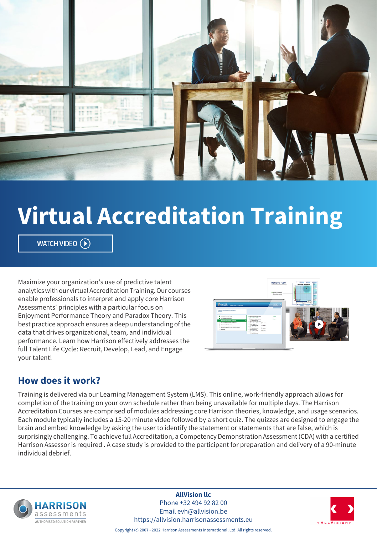

# **Virtual Accreditation Training**

WATCH VIDEO  $\left(\widehat{\mathbf{P}}\right)$ 

Maximize your organization's use of predictive talent analytics with our virtual Accreditation Training. Our courses enable professionals to interpret and apply core Harrison Assessments' principles with a particular focus on Enjoyment Performance Theory and Paradox Theory. This best practice approach ensures a deep understanding of the data that drives organizational, team, and individual performance. Learn how Harrison effectively addresses the full Talent Life Cycle: Recruit, Develop, Lead, and Engage your talent!



# **How does it work?**

Training is delivered via our Learning Management System (LMS). This online, work-friendly approach allows for completion of the training on your own schedule rather than being unavailable for multiple days. The Harrison Accreditation Courses are comprised of modules addressing core Harrison theories, knowledge, and usage scenarios. Each module typically includes a 15-20 minute video followed by a short quiz. The quizzes are designed to engage the brain and embed knowledge by asking the user to identify the statement or statements that are false, which is surprisingly challenging. To achieve full Accreditation, a Competency Demonstration Assessment (CDA) with a certified Harrison Assessor is required . A case study is provided to the participant for preparation and delivery of a 90-minute individual debrief.



**AllVision llc** Phone +32 494 92 82 00 Email evh@allvision.be https://allvision.harrisonassessments.eu